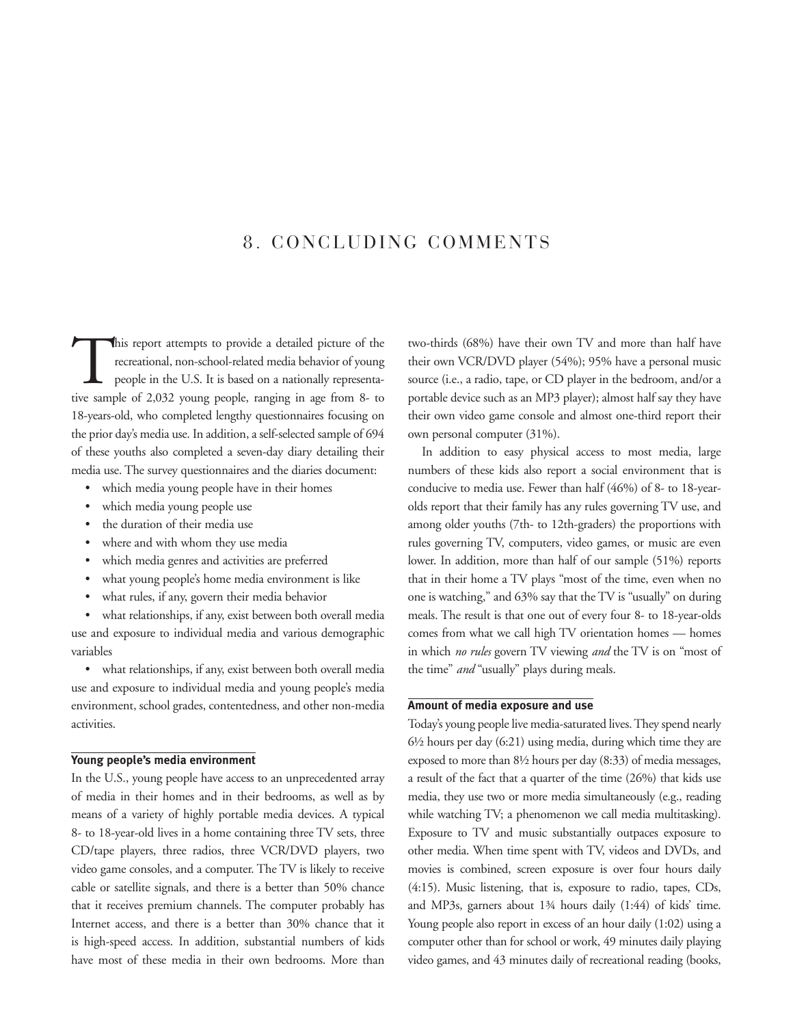## 8. CONCLUDING COMMENTS

This report attempts to provide a detailed picture of the<br>recreational, non-school-related media behavior of young<br>people in the U.S. It is based on a nationally representa-<br>tive sample of 2.032 young people ranging in age recreational, non-school-related media behavior of young people in the U.S. It is based on a nationally representative sample of 2,032 young people, ranging in age from 8- to 18-years-old, who completed lengthy questionnaires focusing on the prior day's media use. In addition, a self-selected sample of 694 of these youths also completed a seven-day diary detailing their media use. The survey questionnaires and the diaries document:

- which media young people have in their homes
- which media young people use
- the duration of their media use
- where and with whom they use media
- which media genres and activities are preferred
- what young people's home media environment is like
- what rules, if any, govern their media behavior

what relationships, if any, exist between both overall media use and exposure to individual media and various demographic variables

• what relationships, if any, exist between both overall media use and exposure to individual media and young people's media environment, school grades, contentedness, and other non-media activities.

#### **Young people's media environment**

In the U.S., young people have access to an unprecedented array of media in their homes and in their bedrooms, as well as by means of a variety of highly portable media devices. A typical 8- to 18-year-old lives in a home containing three TV sets, three CD/tape players, three radios, three VCR/DVD players, two video game consoles, and a computer. The TV is likely to receive cable or satellite signals, and there is a better than 50% chance that it receives premium channels. The computer probably has Internet access, and there is a better than 30% chance that it is high-speed access. In addition, substantial numbers of kids have most of these media in their own bedrooms. More than two-thirds (68%) have their own TV and more than half have their own VCR/DVD player (54%); 95% have a personal music source (i.e., a radio, tape, or CD player in the bedroom, and/or a portable device such as an MP3 player); almost half say they have their own video game console and almost one-third report their own personal computer (31%).

In addition to easy physical access to most media, large numbers of these kids also report a social environment that is conducive to media use. Fewer than half (46%) of 8- to 18-yearolds report that their family has any rules governing TV use, and among older youths (7th- to 12th-graders) the proportions with rules governing TV, computers, video games, or music are even lower. In addition, more than half of our sample (51%) reports that in their home a TV plays "most of the time, even when no one is watching," and 63% say that the TV is "usually" on during meals. The result is that one out of every four 8- to 18-year-olds comes from what we call high TV orientation homes — homes in which *no rules* govern TV viewing *and* the TV is on "most of the time" *and* "usually" plays during meals.

### **Amount of media exposure and use**

Today's young people live media-saturated lives. They spend nearly 6½ hours per day (6:21) using media, during which time they are exposed to more than 8½ hours per day (8:33) of media messages, a result of the fact that a quarter of the time (26%) that kids use media, they use two or more media simultaneously (e.g., reading while watching TV; a phenomenon we call media multitasking). Exposure to TV and music substantially outpaces exposure to other media. When time spent with TV, videos and DVDs, and movies is combined, screen exposure is over four hours daily (4:15). Music listening, that is, exposure to radio, tapes, CDs, and MP3s, garners about 1¾ hours daily (1:44) of kids' time. Young people also report in excess of an hour daily (1:02) using a computer other than for school or work, 49 minutes daily playing video games, and 43 minutes daily of recreational reading (books,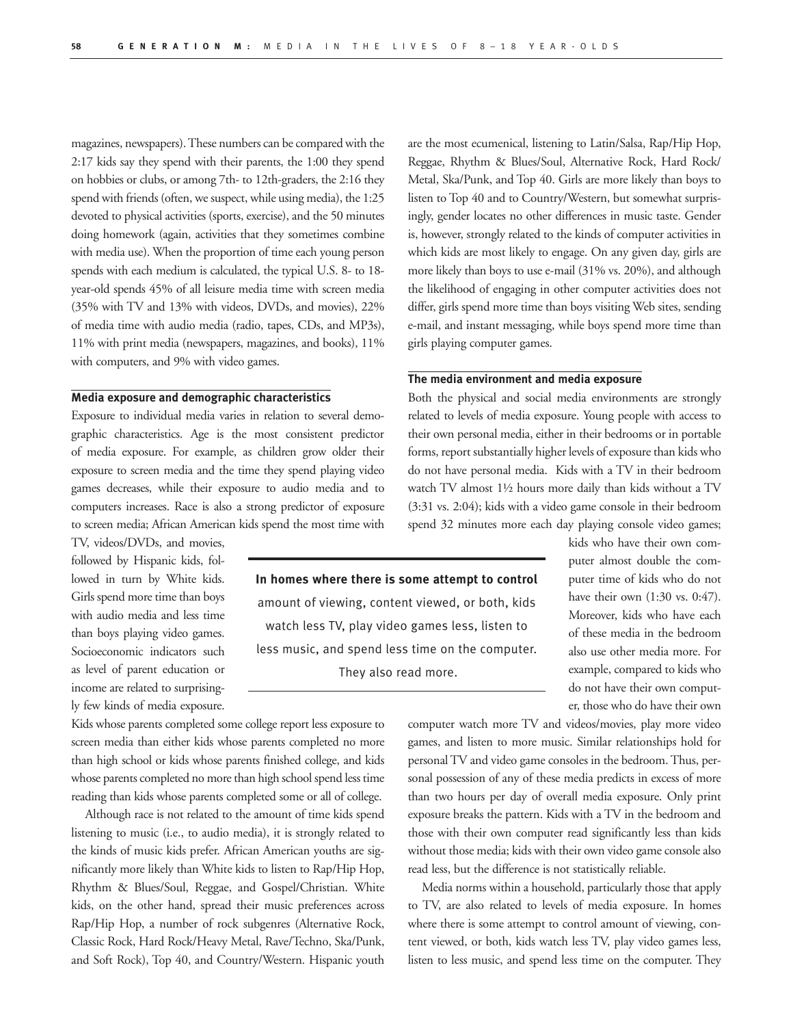magazines, newspapers). These numbers can be compared with the 2:17 kids say they spend with their parents, the 1:00 they spend on hobbies or clubs, or among 7th- to 12th-graders, the 2:16 they spend with friends (often, we suspect, while using media), the 1:25 devoted to physical activities (sports, exercise), and the 50 minutes doing homework (again, activities that they sometimes combine with media use). When the proportion of time each young person spends with each medium is calculated, the typical U.S. 8- to 18 year-old spends 45% of all leisure media time with screen media (35% with TV and 13% with videos, DVDs, and movies), 22% of media time with audio media (radio, tapes, CDs, and MP3s), 11% with print media (newspapers, magazines, and books), 11% with computers, and 9% with video games.

#### **Media exposure and demographic characteristics**

Exposure to individual media varies in relation to several demographic characteristics. Age is the most consistent predictor of media exposure. For example, as children grow older their exposure to screen media and the time they spend playing video games decreases, while their exposure to audio media and to computers increases. Race is also a strong predictor of exposure to screen media; African American kids spend the most time with

TV, videos/DVDs, and movies, followed by Hispanic kids, followed in turn by White kids. Girls spend more time than boys with audio media and less time than boys playing video games. Socioeconomic indicators such as level of parent education or income are related to surprisingly few kinds of media exposure.

Kids whose parents completed some college report less exposure to screen media than either kids whose parents completed no more than high school or kids whose parents finished college, and kids whose parents completed no more than high school spend less time reading than kids whose parents completed some or all of college.

Although race is not related to the amount of time kids spend listening to music (i.e., to audio media), it is strongly related to the kinds of music kids prefer. African American youths are significantly more likely than White kids to listen to Rap/Hip Hop, Rhythm & Blues/Soul, Reggae, and Gospel/Christian. White kids, on the other hand, spread their music preferences across Rap/Hip Hop, a number of rock subgenres (Alternative Rock, Classic Rock, Hard Rock/Heavy Metal, Rave/Techno, Ska/Punk, and Soft Rock), Top 40, and Country/Western. Hispanic youth

are the most ecumenical, listening to Latin/Salsa, Rap/Hip Hop, Reggae, Rhythm & Blues/Soul, Alternative Rock, Hard Rock/ Metal, Ska/Punk, and Top 40. Girls are more likely than boys to listen to Top 40 and to Country/Western, but somewhat surprisingly, gender locates no other differences in music taste. Gender is, however, strongly related to the kinds of computer activities in which kids are most likely to engage. On any given day, girls are more likely than boys to use e-mail (31% vs. 20%), and although the likelihood of engaging in other computer activities does not differ, girls spend more time than boys visiting Web sites, sending e-mail, and instant messaging, while boys spend more time than girls playing computer games.

#### **The media environment and media exposure**

Both the physical and social media environments are strongly related to levels of media exposure. Young people with access to their own personal media, either in their bedrooms or in portable forms, report substantially higher levels of exposure than kids who do not have personal media. Kids with a TV in their bedroom watch TV almost 1½ hours more daily than kids without a TV (3:31 vs. 2:04); kids with a video game console in their bedroom spend 32 minutes more each day playing console video games;

## **In homes where there is some attempt to control**  amount of viewing, content viewed, or both, kids

watch less TV, play video games less, listen to less music, and spend less time on the computer. They also read more.

kids who have their own computer almost double the computer time of kids who do not have their own (1:30 vs. 0:47). Moreover, kids who have each of these media in the bedroom also use other media more. For example, compared to kids who do not have their own computer, those who do have their own

computer watch more TV and videos/movies, play more video games, and listen to more music. Similar relationships hold for personal TV and video game consoles in the bedroom. Thus, personal possession of any of these media predicts in excess of more than two hours per day of overall media exposure. Only print exposure breaks the pattern. Kids with a TV in the bedroom and those with their own computer read significantly less than kids without those media; kids with their own video game console also read less, but the difference is not statistically reliable.

Media norms within a household, particularly those that apply to TV, are also related to levels of media exposure. In homes where there is some attempt to control amount of viewing, content viewed, or both, kids watch less TV, play video games less, listen to less music, and spend less time on the computer. They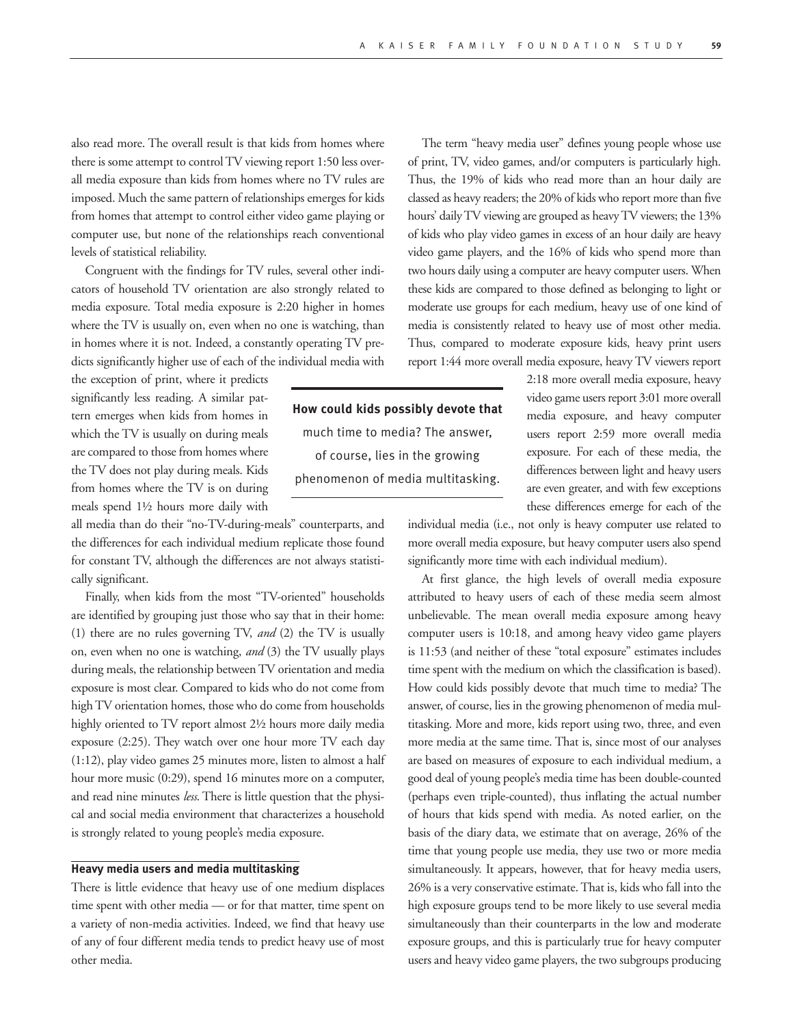also read more. The overall result is that kids from homes where there is some attempt to control TV viewing report 1:50 less overall media exposure than kids from homes where no TV rules are imposed. Much the same pattern of relationships emerges for kids from homes that attempt to control either video game playing or computer use, but none of the relationships reach conventional levels of statistical reliability.

Congruent with the findings for TV rules, several other indicators of household TV orientation are also strongly related to media exposure. Total media exposure is 2:20 higher in homes where the TV is usually on, even when no one is watching, than in homes where it is not. Indeed, a constantly operating TV predicts significantly higher use of each of the individual media with

the exception of print, where it predicts significantly less reading. A similar pattern emerges when kids from homes in which the TV is usually on during meals are compared to those from homes where the TV does not play during meals. Kids from homes where the TV is on during meals spend 1½ hours more daily with

all media than do their "no-TV-during-meals" counterparts, and the differences for each individual medium replicate those found for constant TV, although the differences are not always statistically significant.

Finally, when kids from the most "TV-oriented" households are identified by grouping just those who say that in their home: (1) there are no rules governing TV, *and* (2) the TV is usually on, even when no one is watching, *and* (3) the TV usually plays during meals, the relationship between TV orientation and media exposure is most clear. Compared to kids who do not come from high TV orientation homes, those who do come from households highly oriented to TV report almost 2½ hours more daily media exposure (2:25). They watch over one hour more TV each day (1:12), play video games 25 minutes more, listen to almost a half hour more music (0:29), spend 16 minutes more on a computer, and read nine minutes *less*. There is little question that the physical and social media environment that characterizes a household is strongly related to young people's media exposure.

#### **Heavy media users and media multitasking**

There is little evidence that heavy use of one medium displaces time spent with other media — or for that matter, time spent on a variety of non-media activities. Indeed, we find that heavy use of any of four different media tends to predict heavy use of most other media.

The term "heavy media user" defines young people whose use of print, TV, video games, and/or computers is particularly high. Thus, the 19% of kids who read more than an hour daily are classed as heavy readers; the 20% of kids who report more than five hours' daily TV viewing are grouped as heavy TV viewers; the 13% of kids who play video games in excess of an hour daily are heavy video game players, and the 16% of kids who spend more than two hours daily using a computer are heavy computer users. When these kids are compared to those defined as belonging to light or moderate use groups for each medium, heavy use of one kind of media is consistently related to heavy use of most other media. Thus, compared to moderate exposure kids, heavy print users report 1:44 more overall media exposure, heavy TV viewers report

**How could kids possibly devote that** much time to media? The answer, of course, lies in the growing phenomenon of media multitasking.

2:18 more overall media exposure, heavy video game users report 3:01 more overall media exposure, and heavy computer users report 2:59 more overall media exposure. For each of these media, the differences between light and heavy users are even greater, and with few exceptions these differences emerge for each of the

individual media (i.e., not only is heavy computer use related to more overall media exposure, but heavy computer users also spend significantly more time with each individual medium).

At first glance, the high levels of overall media exposure attributed to heavy users of each of these media seem almost unbelievable. The mean overall media exposure among heavy computer users is 10:18, and among heavy video game players is 11:53 (and neither of these "total exposure" estimates includes time spent with the medium on which the classification is based). How could kids possibly devote that much time to media? The answer, of course, lies in the growing phenomenon of media multitasking. More and more, kids report using two, three, and even more media at the same time. That is, since most of our analyses are based on measures of exposure to each individual medium, a good deal of young people's media time has been double-counted (perhaps even triple-counted), thus inflating the actual number of hours that kids spend with media. As noted earlier, on the basis of the diary data, we estimate that on average, 26% of the time that young people use media, they use two or more media simultaneously. It appears, however, that for heavy media users, 26% is a very conservative estimate. That is, kids who fall into the high exposure groups tend to be more likely to use several media simultaneously than their counterparts in the low and moderate exposure groups, and this is particularly true for heavy computer users and heavy video game players, the two subgroups producing